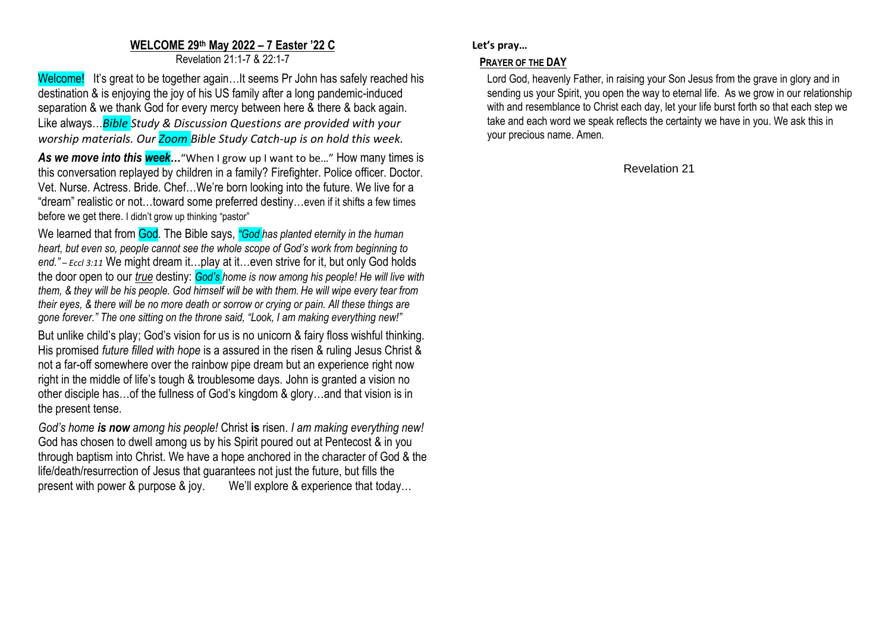## **WELCOME 29 th May 2022 – 7 Easter '22 C**

Revelation 21:1-7 & 22:1-7

Welcome! It's great to be together again...It seems Pr John has safely reached his destination & is enjoying the joy of his US family after a long pandemic-induced separation & we thank God for every mercy between here & there & back again. Like always…*Bible Study & Discussion Questions are provided with your worship materials. Our Zoom Bible Study Catch-up is on hold this week.*

As we move into this week..."When I grow up I want to be..." How many times is this conversation replayed by children in a family? Firefighter. Police officer. Doctor. Vet. Nurse. Actress. Bride. Chef…We're born looking into the future. We live for a "dream" realistic or not…toward some preferred destiny…even if it shifts a few times before we get there. I didn't grow up thinking "pastor"

We learned that from God. The Bible says, *"God has planted eternity in the human heart, but even so, people cannot see the whole scope of God's work from beginning to end." – Eccl 3:11* We might dream it…play at it…even strive for it, but only God holds the door open to our *true* destiny: *God's home is now among his people! He will live with them, & they will be his people. God himself will be with them. He will wipe every tear from their eyes, & there will be no more death or sorrow or crying or pain. All these things are gone forever." The one sitting on the throne said, "Look, I am making everything new!"*

But unlike child's play; God's vision for us is no unicorn & fairy floss wishful thinking. His promised *future filled with hope* is a assured in the risen & ruling Jesus Christ & not a far-off somewhere over the rainbow pipe dream but an experience right now right in the middle of life's tough & troublesome days. John is granted a vision no other disciple has…of the fullness of God's kingdom & glory…and that vision is in the present tense.

*God's home is now among his people!* Christ **is** risen. *I am making everything new!* God has chosen to dwell among us by his Spirit poured out at Pentecost & in you through baptism into Christ. We have a hope anchored in the character of God & the life/death/resurrection of Jesus that guarantees not just the future, but fills the present with power & purpose & joy. We'll explore & experience that today…

## **Let's pray…**

## **PRAYER OF THE DAY**

Lord God, heavenly Father, in raising your Son Jesus from the grave in glory and in sending us your Spirit, you open the way to eternal life. As we grow in our relationship with and resemblance to Christ each day, let your life burst forth so that each step we take and each word we speak reflects the certainty we have in you. We ask this in your precious name. Amen.

Revelation 21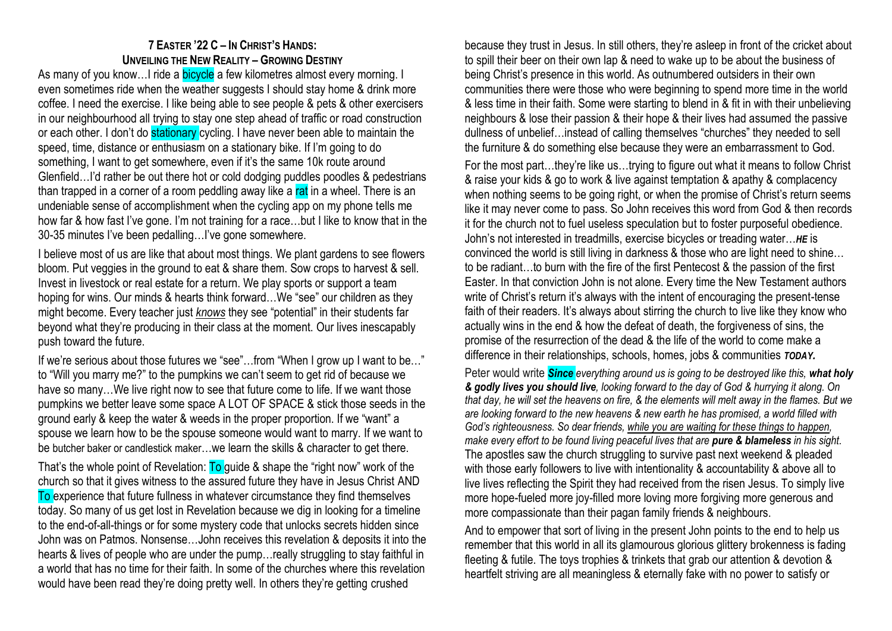## **7 EASTER '22 C – IN CHRIST'S HANDS: UNVEILING THE NEW REALITY – GROWING DESTINY**

As many of you know... I ride a bicycle a few kilometres almost every morning. I even sometimes ride when the weather suggests I should stay home & drink more coffee. I need the exercise. I like being able to see people & pets & other exercisers in our neighbourhood all trying to stay one step ahead of traffic or road construction or each other. I don't do stationary cycling. I have never been able to maintain the speed, time, distance or enthusiasm on a stationary bike. If I'm going to do something, I want to get somewhere, even if it's the same 10k route around Glenfield…I'd rather be out there hot or cold dodging puddles poodles & pedestrians than trapped in a corner of a room peddling away like a rat in a wheel. There is an undeniable sense of accomplishment when the cycling app on my phone tells me how far & how fast I've gone. I'm not training for a race…but I like to know that in the 30-35 minutes I've been pedalling…I've gone somewhere.

I believe most of us are like that about most things. We plant gardens to see flowers bloom. Put veggies in the ground to eat & share them. Sow crops to harvest & sell. Invest in livestock or real estate for a return. We play sports or support a team hoping for wins. Our minds & hearts think forward…We "see" our children as they might become. Every teacher just *knows* they see "potential" in their students far beyond what they're producing in their class at the moment. Our lives inescapably push toward the future.

If we're serious about those futures we "see"…from "When I grow up I want to be…" to "Will you marry me?" to the pumpkins we can't seem to get rid of because we have so many...We live right now to see that future come to life. If we want those pumpkins we better leave some space A LOT OF SPACE & stick those seeds in the ground early & keep the water & weeds in the proper proportion. If we "want" a spouse we learn how to be the spouse someone would want to marry. If we want to be butcher baker or candlestick maker…we learn the skills & character to get there.

That's the whole point of Revelation: **To** guide & shape the "right now" work of the church so that it gives witness to the assured future they have in Jesus Christ AND To experience that future fullness in whatever circumstance they find themselves today. So many of us get lost in Revelation because we dig in looking for a timeline to the end-of-all-things or for some mystery code that unlocks secrets hidden since John was on Patmos. Nonsense…John receives this revelation & deposits it into the hearts & lives of people who are under the pump…really struggling to stay faithful in a world that has no time for their faith. In some of the churches where this revelation would have been read they're doing pretty well. In others they're getting crushed

because they trust in Jesus. In still others, they're asleep in front of the cricket about to spill their beer on their own lap & need to wake up to be about the business of being Christ's presence in this world. As outnumbered outsiders in their own communities there were those who were beginning to spend more time in the world & less time in their faith. Some were starting to blend in & fit in with their unbelieving neighbours & lose their passion & their hope & their lives had assumed the passive dullness of unbelief…instead of calling themselves "churches" they needed to sell the furniture & do something else because they were an embarrassment to God.

For the most part…they're like us…trying to figure out what it means to follow Christ & raise your kids & go to work & live against temptation & apathy & complacency when nothing seems to be going right, or when the promise of Christ's return seems like it may never come to pass. So John receives this word from God & then records it for the church not to fuel useless speculation but to foster purposeful obedience. John's not interested in treadmills, exercise bicycles or treading water…*HE* is convinced the world is still living in darkness & those who are light need to shine… to be radiant…to burn with the fire of the first Pentecost & the passion of the first Easter. In that conviction John is not alone. Every time the New Testament authors write of Christ's return it's always with the intent of encouraging the present-tense faith of their readers. It's always about stirring the church to live like they know who actually wins in the end & how the defeat of death, the forgiveness of sins, the promise of the resurrection of the dead & the life of the world to come make a difference in their relationships, schools, homes, jobs & communities *TODAY.*

Peter would write *Since everything around us is going to be destroyed like this, what holy & godly lives you should live, looking forward to the day of God & hurrying it along. On that day, he will set the heavens on fire, & the elements will melt away in the flames. But we are looking forward to the new heavens & new earth he has promised, a world filled with God's righteousness. So dear friends, while you are waiting for these things to happen, make every effort to be found living peaceful lives that are pure & blameless in his sight.* The apostles saw the church struggling to survive past next weekend & pleaded with those early followers to live with intentionality & accountability & above all to live lives reflecting the Spirit they had received from the risen Jesus. To simply live more hope-fueled more joy-filled more loving more forgiving more generous and more compassionate than their pagan family friends & neighbours.

And to empower that sort of living in the present John points to the end to help us remember that this world in all its glamourous glorious glittery brokenness is fading fleeting & futile. The toys trophies & trinkets that grab our attention & devotion & heartfelt striving are all meaningless & eternally fake with no power to satisfy or